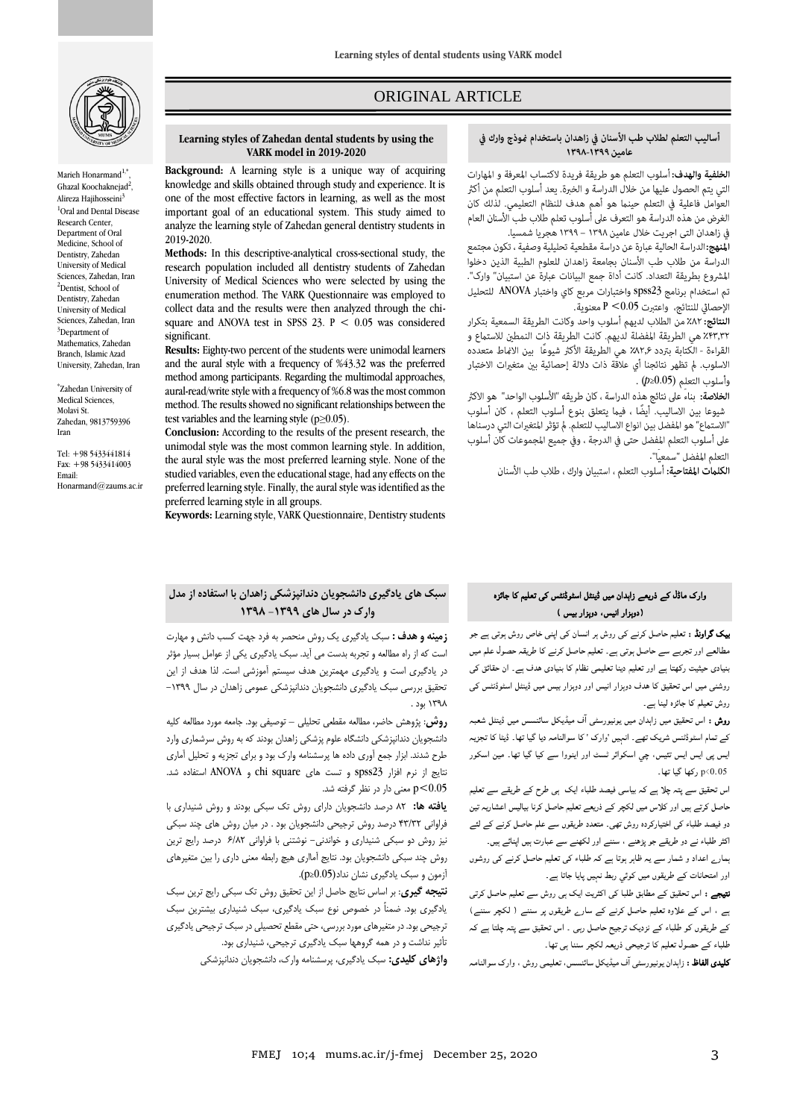

Marieh Honarmand<sup>1,\*</sup> , Ghazal Koochaknejad<sup>2</sup> , Alireza Hajihosseini<sup>3</sup> <sup>1</sup>Oral and Dental Disease Research Center, Department of Oral Medicine, School of Dentistry, Zahedan University of Medical Sciences, Zahedan, Iran <sup>2</sup>Dentist, School of Dentistry, Zahedan University of Medical Sciences, Zahedan, Iran <sup>3</sup>Department of Mathematics, Zahedan Branch, Islamic Azad University, Zahedan, Iran

\* Zahedan University of Medical Sciences, Molavi St. Zahedan, 9813759396 Iran

Tel: +98 5433441814 Fax: +98 5433414003 Email: Honarmand@zaums.ac.ir

# ORIGINAL ARTICLE

#### **Learning styles of Zahedan dental students by using the VARK model in 2019-2020**

**Background:** A learning style is a unique way of acquiring knowledge and skills obtained through study and experience. It is one of the most effective factors in learning, as well as the most important goal of an educational system. This study aimed to analyze the learning style of Zahedan general dentistry students in 2019-2020.

**Methods:** In this descriptive-analytical cross-sectional study, the research population included all dentistry students of Zahedan University of Medical Sciences who were selected by using the enumeration method. The VARK Questionnaire was employed to collect data and the results were then analyzed through the chisquare and ANOVA test in SPSS 23.  $P < 0.05$  was considered significant.

**Results:** Eighty-two percent of the students were unimodal learners and the aural style with a frequency of %43.32 was the preferred method among participants. Regarding the multimodal approaches, aural-read/write style with a frequency of %6.8 was the most common method. The results showed no significant relationships between the test variables and the learning style  $(p \ge 0.05)$ .

**Conclusion:** According to the results of the present research, the unimodal style was the most common learning style. In addition, the aural style was the most preferred learning style. None of the studied variables, even the educational stage, had any effects on the preferred learning style. Finally, the aural style was identified as the preferred learning style in all groups.

**Keywords:** Learning style, VARK Questionnaire, Dentistry students

## أساليب التعلم لطلاب طب الأسنان في زاهدان باستخدام غوذج وارك في عامين ١٣٩٩-١٣٩٨

ص

الخلفية والهدف: أسلوب التعلم هو طريقة فريدة لاكتساب المعرفة و المهارات التي يتم الحصول عليها من خلال الدراسة و الخبرة. يعد أسلوب التعلم من أكثر العوامل فاعلية في التعلم حينما هو أهم هدف للنظام التعليمي. لذلك كان الغرض من هذه الدراسة هو التعرف على أسلوب تعلم طلاب طب الأسنان العام في زاهدان التي اجريت خلال عامين ١٣٩٨ – ١٣٩٩ هجريا شمسيا.

**المنهج:** الدراسة الحالية عبارة عن دراسة مقطعية تحليلية وصفية ، تكون مجتمع الدراسة من طلاب طب الأسنان بجامعة زاهدان للعلوم الطبية الذين دخلوا المشروع بطريقة التعداد. كانت أداة جمع البيانات عبارة عن استبيان" وارك". تم استخدام برنامج spss23 واختبارات مربع كاي واختبار ANOVA للتحليل الإحصائي للنتائج، واعتبرت P <0.05 معنوية.<br>النتائج: ٨٢٪ من الطلاب لديهم أسلوب واحد وكانت الطريقة السمعية بتكرار

٤٣٣,٣٢ هي الطريقة المفضلة لديهم. كانت الطريقة ذات النمطين للاستماع و القراءة - الكتابة بتردد ٨٢,۶٪ هي الطريقة الأكثر شيوعًا بين الانماط متعدده الاسلوب. لم تظهر نتائجنا أي علاقة ذات دلالة إحصائية بين متغيرات الاختبار (*p*≥0.05)

**الخلاصة:** بناءً على نتائج هذه الدراسة ، كان طريقه "الأسلوب الواحد" هو الاكثر شيوعا بين الاساليب. أيضًا ، فيما يتعلق بنوع أسلوب التعلم ، كان أسلوب 'الاستماع" هو المفضل بين انواع الاساليب للتعلم. لم تؤثر المتغيرات التي درسناها على أسلوب التعلم المفضل حتى في الدرجة ، وفي جميع المجموعات كان أسلوب التعلم المفضل "سمعياً".

**الكلمات المفتاحية:** أسلوب التعلم ، استبيان وارك ، طلاب طب الأسنان

# وارک ماڈل کے ذریعے زاہدان میں ڈینٹل اسٹوڈنٹس کی تعلیم کا جائزہ )دوہزار انیس، دوہزار بیس (

بیک گراونڈ : تعلیم حاصل کرنے کی روش ہر انسان کی اپںی خاص روش ہوتی ہے جو مطالعے اور تجربے سے حاصل ہوتی ہے۔ تعلیم حاصل کرنے کا طریقہ حصول علم میں بنیادی حیثیت رکھتا ہے اور تعلیم دینا تعلیمی نظام کا بنیادی ھدف ہے۔ ان حقائق کی روشنی میں اس تحقیق کا ھدف دوہزار انیس اور دوہزار بیس میں ڈینٹل اسٹوڈنٹس کی روش تعیلم کا جائزہ لینا ہے۔

**روش :** اس تحقیق میں زاہدان میں یونیورسٹی آف میڈیکل سائنسس میں ڈینٹل شعبہ کے تمام اسٹوڈٹنس شریک تھے۔ انہیں 'وارک ' کا سوالنامہ دیا گيا تھا۔ ڈیٹا کا تجزیہ ایس پی ایس ایس تئيس، چي اسکوائر ٹسٹ اور اینووا سے کیا گيا تھا۔ مین اسکور 0.05>p رکھا گيا تھا۔

اس تحقیق سے پتہ چلا ہے کہ بیاسی فیصد طلباء ایک ہی طرح کے طریقے سے تعلیم حاصل کرتے ہیں اور کلاس میں لکچر کے ذریعے تعلیم حاصل کرنا بیالیس اعشاریہ تین دو فیصد طلباء کی اختیارکردہ روش تھی۔ متعدد طریقوں سے علم حاصل کرنے کے لئے اکثر طلباء نے دو طریقے جو پڑھنے ، سننے اور لکھنے سے عبارت ہیں اپنائے ہیں۔

ہمارے اعداد و شمار سے یہ ظاہر ہوتا ہے کہ طلباء کی تعلیم حاصل کرنے کی روشوں اور امتحانات کے طریقوں میں کوئي ربط نہیں پایا جاتا ہے۔

۔<br>**نتیجے :** اس تحقیق کے مطابق طلبا کی اکثریت ایک ہی روش سے تعلیم حاصل کرتی ہے ، اس کے علاوہ تعلیم حاصل کرنے کے سارے طریقوں پر سننے ) لکچر سننے( کے طریقوں کو طلباء کے نزدیک ترجیح حاصل رہی ۔ اس تحقیق سے پتہ چلتا ہے کہ طلباء کے حصول تعلیم کا ترجیحی ذریعہ لکچر سننا ہی تھا۔

کلیدی الفاظ : زاہدان یونیورسٹی آف میڈیکل سائنسس، تعلیمی روش ، وارک سوالنامہ

# **سبک های یادگیری دانشجویان دندانپزشکی زاهدان با استفاده از مدل وارک در سال های -1399 1398**

**زمینه و هدف :** سبک یادگیری یک روش منحصر به فرد جهت کسب دانش و مهارت است که از راه مطالعه و تجربه بدست می آید. سبک یادگیری یکی از عوامل بسیار مؤثر در یادگیری است و یادگیری مهمترین هدف سیستم آموزشی است. لذا هدف از این تحقیق بررسی سبک یادگیری دانشجویان دندانپزشکی عمومی زاهدان در سال -1399 1398 بود .

**روش**: پژوهش حاضر، مطالعه مقطعی تحلیلی – توصیفی بود. جامعه مورد مطالعه کلیه دانشجویان دندانپزشکی دانشگاه علوم پزشکی زاهدان بودند که به روش سرشماری وارد طرح شدند. ابزار جمع آوری داده ها پرسشنامه وارک بود و برای تجزیه و تحلیل آماری نتایج از نرم افزار 23spss و تست های square chi و ANOVA استفاده شد. 0.05>p معنی دار در نظر گرفته شد.

**یافته ها:** 82 درصد دانشجویان دارای روش تک سبکی بودند و روش شنیداری با فراوانی 43/32 درصد روش ترجیحی دانشجویان بود . در میان روش های چند سبکی نیز روش دو سبکی شنیداری و خواندنی- نوشتنی با فراوانی 6/82 درصد رایج ترین روش چند سبکی دانشجویان بود. نتایج آمااری هیچ رابطه معنی داری را بین متغیرهای آزمون و سبک یادگیری نشان نداد(0.05≤p(.

**نتیجه گیری**: بر اساس نتایج حاصل از این تحقیق روش تک سبکی رایج ترین سبک یادگیری بود. ضمناً در خصوص نوع سبک یادگیری، سبک شنیداری بیشترین سبک ترجیحی بود. در متغیرهای مورد بررسی، حتی مقطع تحصیلی در سبک ترجیحی یادگیری تأثیر نداشت و در همه گروهها سبک یادگیری ترجیحی، شنیداری بود.

**واژهای کلیدی:** سبک یادگیری، پرسشنامه وارک، دانشجویان دندانپزشکی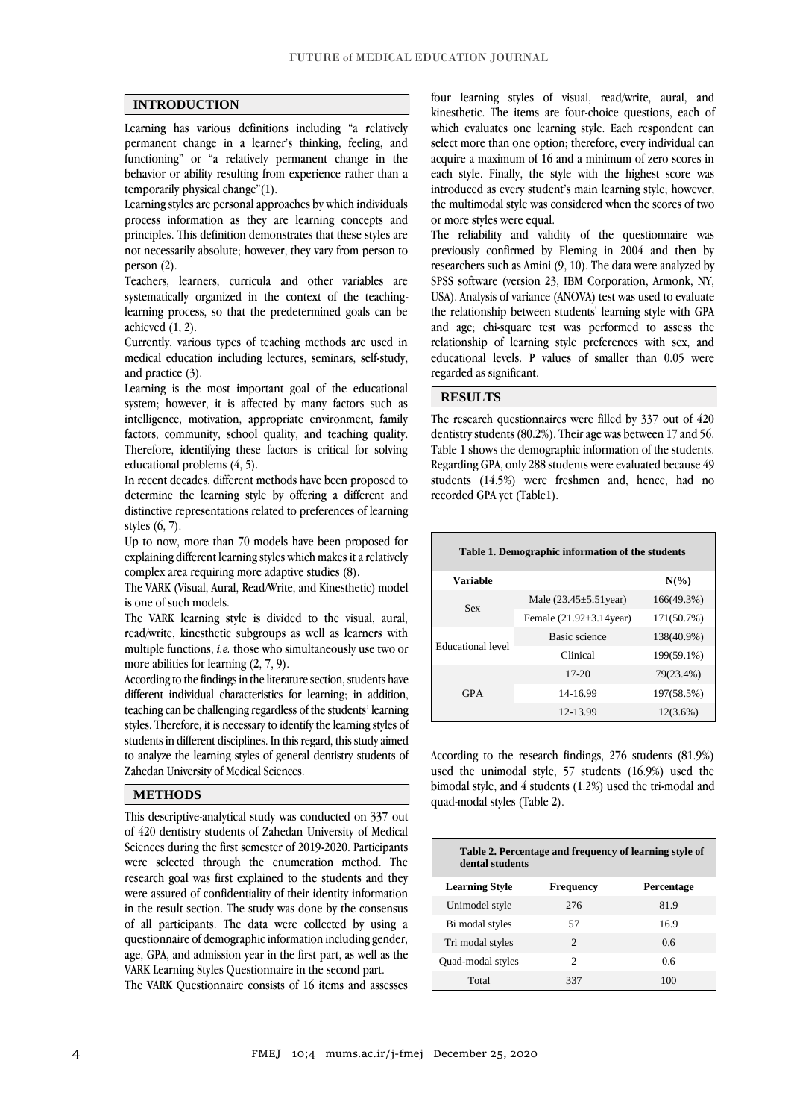## **INTRODUCTION**

Learning has various definitions including "a relatively permanent change in a learner's thinking, feeling, and functioning" or "a relatively permanent change in the behavior or ability resulting from experience rather than a temporarily physical change"(1).

Learning styles are personal approaches by which individuals process information as they are learning concepts and principles. This definition demonstrates that these styles are not necessarily absolute; however, they vary from person to person (2).

Teachers, learners, curricula and other variables are systematically organized in the context of the teachinglearning process, so that the predetermined goals can be achieved (1, 2).

Currently, various types of teaching methods are used in medical education including lectures, seminars, self-study, and practice (3).

Learning is the most important goal of the educational system; however, it is affected by many factors such as intelligence, motivation, appropriate environment, family factors, community, school quality, and teaching quality. Therefore, identifying these factors is critical for solving educational problems (4, 5).

In recent decades, different methods have been proposed to determine the learning style by offering a different and distinctive representations related to preferences of learning styles (6, 7).

Up to now, more than 70 models have been proposed for explaining different learning styles which makes it a relatively complex area requiring more adaptive studies (8).

The VARK (Visual, Aural, Read/Write, and Kinesthetic) model is one of such models.

The VARK learning style is divided to the visual, aural, read/write, kinesthetic subgroups as well as learners with multiple functions, *i.e.* those who simultaneously use two or more abilities for learning  $(2, 7, 9)$ .

According to the findings in the literature section, students have different individual characteristics for learning; in addition, teaching can be challenging regardless of the students' learning styles. Therefore, it is necessary to identify the learning styles of students in different disciplines. In this regard, this study aimed to analyze the learning styles of general dentistry students of Zahedan University of Medical Sciences.

## **METHODS**

This descriptive-analytical study was conducted on 337 out of 420 dentistry students of Zahedan University of Medical Sciences during the first semester of 2019-2020. Participants were selected through the enumeration method. The research goal was first explained to the students and they were assured of confidentiality of their identity information in the result section. The study was done by the consensus of all participants. The data were collected by using a questionnaire of demographic information including gender, age, GPA, and admission year in the first part, as well as the VARK Learning Styles Questionnaire in the second part.

The VARK Questionnaire consists of 16 items and assesses

four learning styles of visual, read/write, aural, and kinesthetic. The items are four-choice questions, each of which evaluates one learning style. Each respondent can select more than one option; therefore, every individual can acquire a maximum of 16 and a minimum of zero scores in each style. Finally, the style with the highest score was introduced as every student's main learning style; however, the multimodal style was considered when the scores of two or more styles were equal.

The reliability and validity of the questionnaire was previously confirmed by Fleming in 2004 and then by researchers such as Amini (9, 10). The data were analyzed by SPSS software (version 23, IBM Corporation, Armonk, NY, USA). Analysis of variance (ANOVA) test was used to evaluate the relationship between students' learning style with GPA and age; chi-square test was performed to assess the relationship of learning style preferences with sex, and educational levels. P values of smaller than 0.05 were regarded as significant.

## **RESULTS**

The research questionnaires were filled by 337 out of 420 dentistry students (80.2%). Their age was between 17 and 56. Table 1 shows the demographic information of the students. Regarding GPA, only 288 students were evaluated because 49 students (14.5%) were freshmen and, hence, had no recorded GPA yet (Table1).

| Table 1. Demographic information of the students |                               |             |  |  |  |  |  |
|--------------------------------------------------|-------------------------------|-------------|--|--|--|--|--|
| Variable                                         |                               | $N(\%)$     |  |  |  |  |  |
| <b>Sex</b>                                       | Male $(23.45 \pm 5.51)$ year) | 166(49.3%)  |  |  |  |  |  |
|                                                  | Female $(21.92\pm3.14)$ year) | 171(50.7%)  |  |  |  |  |  |
| Educational level                                | <b>Basic science</b>          | 138(40.9%)  |  |  |  |  |  |
|                                                  | Clinical                      | 199(59.1%)  |  |  |  |  |  |
| <b>GPA</b>                                       | $17 - 20$                     | 79(23.4%)   |  |  |  |  |  |
|                                                  | 14-16.99                      | 197(58.5%)  |  |  |  |  |  |
|                                                  | 12-13.99                      | $12(3.6\%)$ |  |  |  |  |  |

According to the research findings, 276 students (81.9%) used the unimodal style, 57 students (16.9%) used the bimodal style, and 4 students (1.2%) used the tri-modal and quad-modal styles (Table 2).

| Table 2. Percentage and frequency of learning style of<br>dental students |                  |                |  |  |  |  |
|---------------------------------------------------------------------------|------------------|----------------|--|--|--|--|
| <b>Learning Style</b>                                                     | <b>Frequency</b> | Percentage     |  |  |  |  |
| Unimodel style                                                            | 276              | 81.9           |  |  |  |  |
| Bi modal styles                                                           | 57               | 16.9           |  |  |  |  |
| Tri modal styles                                                          | $\mathfrak{D}$   | 0 <sub>6</sub> |  |  |  |  |
| <b>Ouad-modal styles</b>                                                  | $\mathfrak{D}$   | 06             |  |  |  |  |
| Total                                                                     | 337              | 100            |  |  |  |  |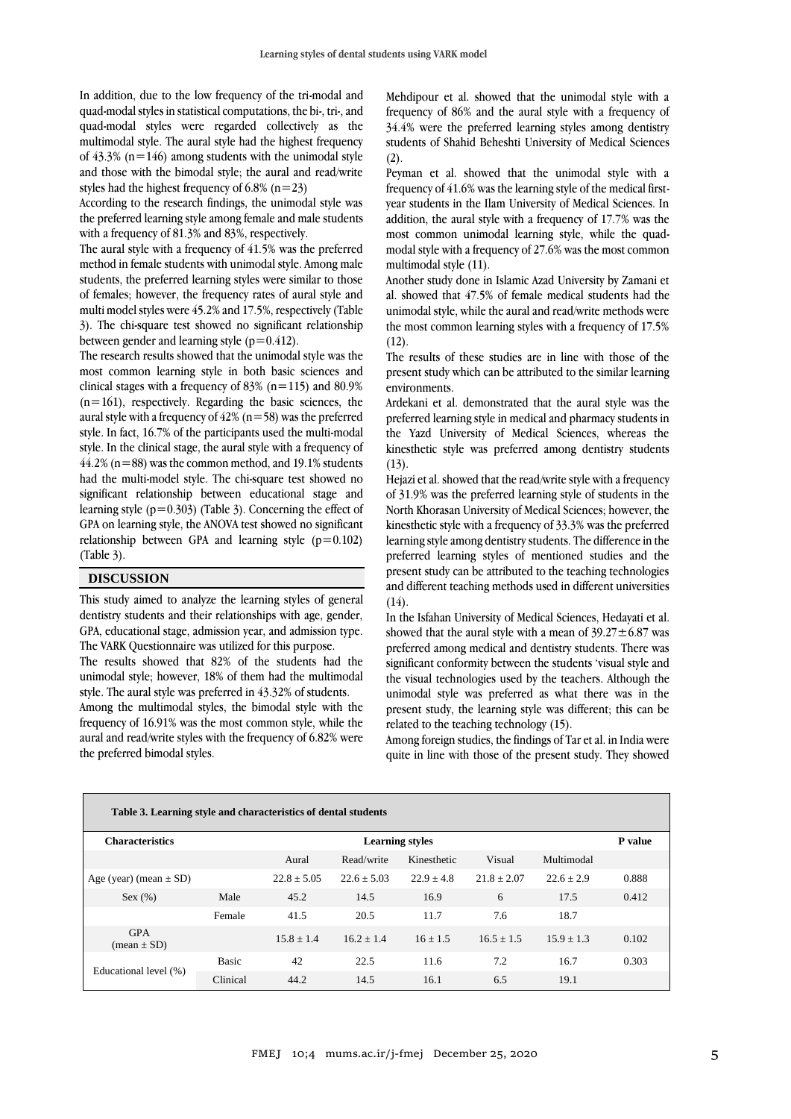In addition, due to the low frequency of the tri-modal and quad-modal styles in statistical computations, the bi-, tri-, and quad-modal styles were regarded collectively as the multimodal style. The aural style had the highest frequency of  $43.3\%$  (n=146) among students with the unimodal style and those with the bimodal style; the aural and read/write styles had the highest frequency of 6.8%  $(n=23)$ 

According to the research findings, the unimodal style was the preferred learning style among female and male students with a frequency of 81.3% and 83%, respectively.

The aural style with a frequency of 41.5% was the preferred method in female students with unimodal style. Among male students, the preferred learning styles were similar to those of females; however, the frequency rates of aural style and multi model styles were 45.2% and 17.5%, respectively (Table 3). The chi-square test showed no significant relationship between gender and learning style  $(p=0.412)$ .

The research results showed that the unimodal style was the most common learning style in both basic sciences and clinical stages with a frequency of 83% (n=115) and 80.9%  $(n=161)$ , respectively. Regarding the basic sciences, the aural style with a frequency of  $42\%$  (n=58) was the preferred style. In fact, 16.7% of the participants used the multi-modal style. In the clinical stage, the aural style with a frequency of  $44.2\%$  (n=88) was the common method, and 19.1% students had the multi-model style. The chi-square test showed no significant relationship between educational stage and learning style  $(p=0.303)$  (Table 3). Concerning the effect of GPA on learning style, the ANOVA test showed no significant relationship between GPA and learning style  $(p=0.102)$ (Table 3).

## **DISCUSSION**

This study aimed to analyze the learning styles of general dentistry students and their relationships with age, gender, GPA, educational stage, admission year, and admission type. The VARK Questionnaire was utilized for this purpose.

The results showed that 82% of the students had the unimodal style; however, 18% of them had the multimodal style. The aural style was preferred in 43.32% of students.

Among the multimodal styles, the bimodal style with the frequency of 16.91% was the most common style, while the aural and read/write styles with the frequency of 6.82% were the preferred bimodal styles.

Mehdipour et al. showed that the unimodal style with a frequency of 86% and the aural style with a frequency of 34.4% were the preferred learning styles among dentistry students of Shahid Beheshti University of Medical Sciences (2).

Peyman et al. showed that the unimodal style with a frequency of 41.6% was the learning style of the medical firstyear students in the Ilam University of Medical Sciences. In addition, the aural style with a frequency of 17.7% was the most common unimodal learning style, while the quadmodal style with a frequency of 27.6% was the most common multimodal style (11).

Another study done in Islamic Azad University by Zamani et al. showed that 47.5% of female medical students had the unimodal style, while the aural and read/write methods were the most common learning styles with a frequency of 17.5%  $(12).$ 

The results of these studies are in line with those of the present study which can be attributed to the similar learning environments.

Ardekani et al. demonstrated that the aural style was the preferred learning style in medical and pharmacy students in the Yazd University of Medical Sciences, whereas the kinesthetic style was preferred among dentistry students (13).

Hejazi et al. showed that the read/write style with a frequency of 31.9% was the preferred learning style of students in the North Khorasan University of Medical Sciences; however, the kinesthetic style with a frequency of 33.3% was the preferred learning style among dentistry students. The difference in the preferred learning styles of mentioned studies and the present study can be attributed to the teaching technologies and different teaching methods used in different universities  $(14).$ 

In the Isfahan University of Medical Sciences, Hedayati et al. showed that the aural style with a mean of  $39.27 \pm 6.87$  was preferred among medical and dentistry students. There was significant conformity between the students 'visual style and the visual technologies used by the teachers. Although the unimodal style was preferred as what there was in the present study, the learning style was different; this can be related to the teaching technology (15).

Among foreign studies, the findings of Tar et al. in India were quite in line with those of the present study. They showed

| Table 3. Learning style and characteristics of dental students |              |               |                |              |                 |                |       |  |  |
|----------------------------------------------------------------|--------------|---------------|----------------|--------------|-----------------|----------------|-------|--|--|
| <b>Characteristics</b>                                         |              |               | <b>P</b> value |              |                 |                |       |  |  |
|                                                                |              | Aural         | Read/write     | Kinesthetic  | Visual          | Multimodal     |       |  |  |
| Age (year) (mean $\pm$ SD)                                     |              | $22.8 + 5.05$ | $22.6 + 5.03$  | $22.9 + 4.8$ | $21.8 \pm 2.07$ | $22.6 + 2.9$   | 0.888 |  |  |
| Sex (%)                                                        | Male         | 45.2          | 14.5           | 16.9         | 6               | 17.5           | 0.412 |  |  |
|                                                                | Female       | 41.5          | 20.5           | 11.7         | 7.6             | 18.7           |       |  |  |
| <b>GPA</b><br>$mean \pm SD$                                    |              | $15.8 + 1.4$  | $16.2 \pm 1.4$ | $16 + 1.5$   | $16.5 + 1.5$    | $15.9 \pm 1.3$ | 0.102 |  |  |
| Educational level (%)                                          | <b>Basic</b> | 42            | 22.5           | 11.6         | 7.2             | 16.7           | 0.303 |  |  |
|                                                                | Clinical     | 44.2          | 14.5           | 16.1         | 6.5             | 19.1           |       |  |  |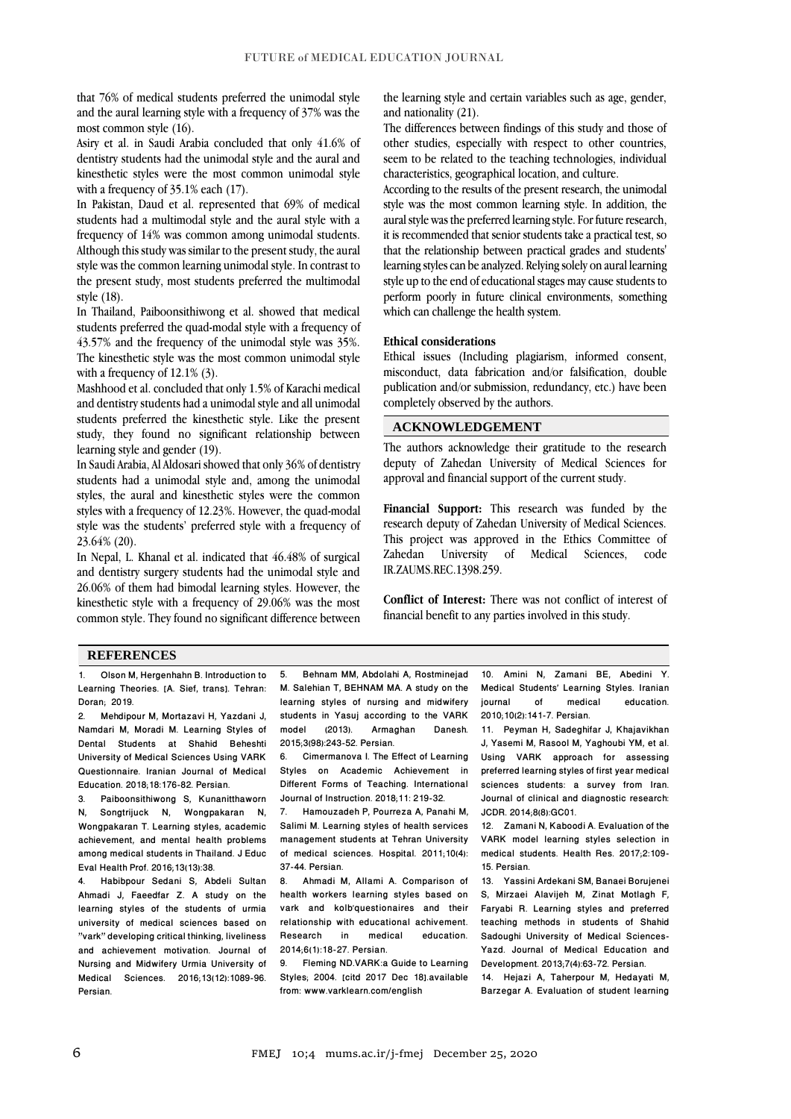that 76% of medical students preferred the unimodal style and the aural learning style with a frequency of 37% was the most common style (16).

Asiry et al. in Saudi Arabia concluded that only 41.6% of dentistry students had the unimodal style and the aural and kinesthetic styles were the most common unimodal style with a frequency of 35.1% each (17).

In Pakistan, Daud et al. represented that 69% of medical students had a multimodal style and the aural style with a frequency of 14% was common among unimodal students. Although this study was similar to the present study, the aural style was the common learning unimodal style. In contrast to the present study, most students preferred the multimodal style (18).

In Thailand, Paiboonsithiwong et al. showed that medical students preferred the quad-modal style with a frequency of 43.57% and the frequency of the unimodal style was 35%. The kinesthetic style was the most common unimodal style with a frequency of 12.1% (3).

Mashhood et al. concluded that only 1.5% of Karachi medical and dentistry students had a unimodal style and all unimodal students preferred the kinesthetic style. Like the present study, they found no significant relationship between learning style and gender (19).

In Saudi Arabia, Al Aldosari showed that only 36% of dentistry students had a unimodal style and, among the unimodal styles, the aural and kinesthetic styles were the common styles with a frequency of 12.23%. However, the quad-modal style was the students' preferred style with a frequency of 23.64% (20).

In Nepal, L. Khanal et al. indicated that 46.48% of surgical and dentistry surgery students had the unimodal style and 26.06% of them had bimodal learning styles. However, the kinesthetic style with a frequency of 29.06% was the most common style. They found no significant difference between the learning style and certain variables such as age, gender, and nationality (21).

The differences between findings of this study and those of other studies, especially with respect to other countries, seem to be related to the teaching technologies, individual characteristics, geographical location, and culture.

According to the results of the present research, the unimodal style was the most common learning style. In addition, the aural style was the preferred learning style. For future research, it is recommended that senior students take a practical test, so that the relationship between practical grades and students' learning styles can be analyzed. Relying solely on aural learning style up to the end of educational stages may cause students to perform poorly in future clinical environments, something which can challenge the health system.

## **Ethical considerations**

Ethical issues (Including plagiarism, informed consent, misconduct, data fabrication and/or falsification, double publication and/or submission, redundancy, etc.) have been completely observed by the authors.

## **ACKNOWLEDGEMENT**

The authors acknowledge their gratitude to the research deputy of Zahedan University of Medical Sciences for approval and financial support of the current study.

**Financial Support:** This research was funded by the research deputy of Zahedan University of Medical Sciences. This project was approved in the Ethics Committee of Zahedan University of Medical Sciences, code IR.ZAUMS.REC.1398.259.

**Conflict of Interest:** There was not conflict of interest of financial benefit to any parties involved in this study.

#### **REFERENCES**

1. Olson M, Hergenhahn B. Introduction to Learning Theories. [A. Sief, trans]. Tehran: Doran; 2019.

2. Mehdipour M, Mortazavi H, Yazdani J, Namdari M, Moradi M. Learning Styles of Dental Students at Shahid Beheshti University of Medical Sciences Using VARK Questionnaire. Iranian Journal of Medical Education. 2018;18:176-82. Persian.<br>3. Paihoonsithiwong, S. Kunani.

3. Paiboonsithiwong S, Kunanitthaworn<br>N. Songtriiuck N. Wongpakaran N. Songtrijuck N, Wongpakaran N, Wongpakaran T. Learning styles, academic achievement, and mental health problems among medical students in Thailand. J Educ Eval Health Prof. 2016;13(13):38.

4. Habibpour Sedani S, Abdeli Sultan Ahmadi J, Faeedfar Z. A study on the learning styles of the students of urmia university of medical sciences based on "vark" developing critical thinking, liveliness and achievement motivation. Journal of Nursing and Midwifery Urmia University of Medical Sciences. 2016;13(12):1089-96. Persian.

5. Behnam MM, Abdolahi A, Rostminejad M. Salehian T, BEHNAM MA. A study on the learning styles of nursing and midwifery students in Yasuj according to the VARK<br>model (2013) Armaghan Danesh model (2013). Armaghan Danesh. 2015;3(98):243-52. Persian.

6. Cimermanova I. The Effect of Learning Styles on Academic Achievement in Different Forms of Teaching. International Journal of Instruction. 2018;11: 219-32.

7. Hamouzadeh P, Pourreza A, Panahi M, Salimi M. Learning styles of health services management students at Tehran University of medical sciences. Hospital. 2011;10(4): 37-44. Persian.

8. Ahmadi M, Allami A. Comparison of health workers learning styles based on vark and kolb'questionaires and their relationship with educational achivement.<br>Research in medical education medical education. 2014;6(1):18-27. Persian.

9. Fleming ND.VARK:a Guide to Learning Styles; 2004. [citd 2017 Dec 18].available from: www.varklearn.com/english

10. Amini N, Zamani BE, Abedini Y. Medical Students' Learning Styles. Iranian<br>journal of medical education. education. 2010;10(2):141-7. Persian.

11. Peyman H, Sadeghifar J, Khajavikhan J, Yasemi M, Rasool M, Yaghoubi YM, et al. Using VARK approach for assessing preferred learning styles of first year medical sciences students: a survey from Iran. Journal of clinical and diagnostic research: JCDR. 2014;8(8):GC01.

12. Zamani N, Kaboodi A. Evaluation of the VARK model learning styles selection in medical students. Health Res. 2017;2:109- 15. Persian.

13. Yassini Ardekani SM[, Banaei Borujenei](https://www.magiran.com/author/s.%20banaei%20borujenei) S, Mirzaei Alavijeh M, Zinat Motlagh F, Faryabi R. Learning styles and preferred teaching methods in students of Shahid Sadoughi University of Medical Sciences-Yazd. Journal of Medical Education and Development. 2013;7(4):63-72. Persian.

14. Hejazi A, Taherpour M, Hedayati M, Barzegar A. Evaluation of student learning